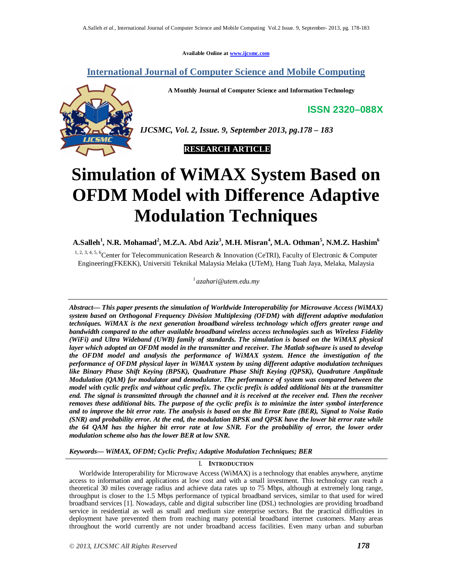**Available Online at www.ijcsmc.com**

**International Journal of Computer Science and Mobile Computing**

**A Monthly Journal of Computer Science and Information Technology**

**ISSN 2320–088X**

*IJCSMC, Vol. 2, Issue. 9, September 2013, pg.178 – 183*



# **Simulation of WiMAX System Based on OFDM Model with Difference Adaptive Modulation Techniques**

**A.Salleh 1 , N.R. Mohamad<sup>2</sup> , M.Z.A. Abd Aziz<sup>3</sup> , M.H. Misran<sup>4</sup> , M.A. Othman<sup>5</sup> , N.M.Z. Hashim<sup>6</sup>**

1, 2, 3, 4, 5, 6 Center for Telecommunication Research & Innovation (CeTRI), Faculty of Electronic & Computer Engineering(FKEKK), Universiti Teknikal Malaysia Melaka (UTeM), Hang Tuah Jaya, Melaka, Malaysia

*1 azahari@utem.edu.my*

*Abstract— This paper presents the simulation of Worldwide Interoperability for Microwave Access (WiMAX) system based on Orthogonal Frequency Division Multiplexing (OFDM) with different adaptive modulation techniques. WiMAX is the next generation broadband wireless technology which offers greater range and bandwidth compared to the other available broadband wireless access technologies such as Wireless Fidelity (WiFi) and Ultra Wideband (UWB) family of standards. The simulation is based on the WiMAX physical layer which adopted an OFDM model in the transmitter and receiver. The Matlab software is used to develop the OFDM model and analysis the performance of WiMAX system. Hence the investigation of the performance of OFDM physical layer in WiMAX system by using different adaptive modulation techniques like Binary Phase Shift Keying (BPSK), Quadrature Phase Shift Keying (QPSK), Quadrature Amplitude Modulation (QAM) for modulator and demodulator. The performance of system was compared between the model with cyclic prefix and without cylic prefix. The cyclic prefix is added additional bits at the transmitter end. The signal is transmitted through the channel and it is received at the receiver end. Then the receiver removes these additional bits. The purpose of the cyclic prefix is to minimize the inter symbol interference and to improve the bit error rate. The analysis is based on the Bit Error Rate (BER), Signal to Noise Ratio (SNR) and probability error. At the end, the modulation BPSK and QPSK have the lower bit error rate while the 64 QAM has the higher bit error rate at low SNR. For the probability of error, the lower order modulation scheme also has the lower BER at low SNR.*

*Keywords— WiMAX, OFDM; Cyclic Prefix; Adaptive Modulation Techniques; BER*

### I. **INTRODUCTION**

Worldwide Interoperability for Microwave Access (WiMAX) is a technology that enables anywhere, anytime access to information and applications at low cost and with a small investment. This technology can reach a theoretical 30 miles coverage radius and achieve data rates up to 75 Mbps, although at extremely long range, throughput is closer to the 1.5 Mbps performance of typical broadband services, similar to that used for wired broadband services [1]. Nowadays, cable and digital subscriber line (DSL) technologies are providing broadband service in residential as well as small and medium size enterprise sectors. But the practical difficulties in deployment have prevented them from reaching many potential broadband internet customers. Many areas throughout the world currently are not under broadband access facilities. Even many urban and suburban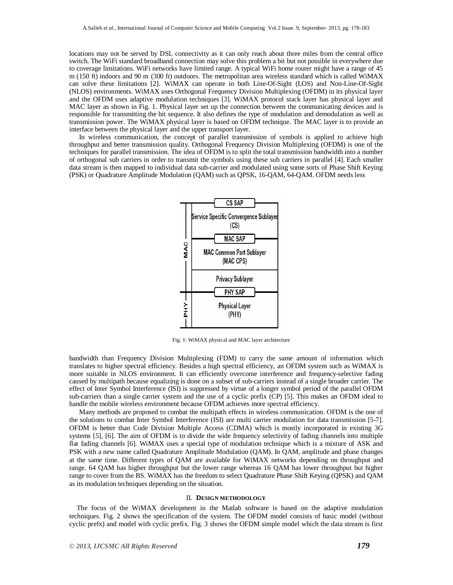locations may not be served by DSL connectivity as it can only reach about three miles from the central office switch. The WiFi standard broadband connection may solve this problem a bit but not possible in everywhere due to coverage limitations. WiFi networks have limited range. A typical WiFi home router might have a range of 45 m (150 ft) indoors and 90 m (300 ft) outdoors. The metropolitan area wireless standard which is called WiMAX can solve these limitations [2]. WiMAX can operate in both Line-Of-Sight (LOS) and Non-Line-Of-Sight (NLOS) environments. WiMAX uses Orthogonal Frequency Division Multiplexing (OFDM) in its physical layer and the OFDM uses adaptive modulation techniques [3]. WiMAX protocol stack layer has physical layer and MAC layer as shown in Fig. 1. Physical layer set up the connection between the communicating devices and is responsible for transmitting the bit sequence. It also defines the type of modulation and demodulation as well as transmission power. The WiMAX physical layer is based on OFDM technique. The MAC layer is to provide an interface between the physical layer and the upper transport layer.

In wireless communication, the concept of parallel transmission of symbols is applied to achieve high throughput and better transmission quality. Orthogonal Frequency Division Multiplexing (OFDM) is one of the techniques for parallel transmission. The idea of OFDM is to split the total transmission bandwidth into a number of orthogonal sub carriers in order to transmit the symbols using these sub carriers in parallel [4]. Each smaller data stream is then mapped to individual data sub-carrier and modulated using some sorts of Phase Shift Keying (PSK) or Quadrature Amplitude Modulation (QAM) such as QPSK, 16-QAM, 64-QAM. OFDM needs less



Fig. 1: WiMAX physical and MAC layer architecture

bandwidth than Frequency Division Multiplexing (FDM) to carry the same amount of information which translates to higher spectral efficiency. Besides a high spectral efficiency, an OFDM system such as WiMAX is more suitable in NLOS environment. It can efficiently overcome interference and frequency-selective fading caused by multipath because equalizing is done on a subset of sub-carriers instead of a single broader carrier. The effect of Inter Symbol Interference (ISI) is suppressed by virtue of a longer symbol period of the parallel OFDM sub-carriers than a single carrier system and the use of a cyclic prefix (CP) [5]. This makes an OFDM ideal to handle the mobile wireless environment because OFDM achieves more spectral efficiency.

Many methods are proposed to combat the multipath effects in wireless communication. OFDM is the one of the solutions to combat Inter Symbol Interference (ISI) are multi carrier modulation for data transmission [5-7]. OFDM is better than Code Division Multiple Access (CDMA) which is mostly incorporated in existing 3G systems [5], [6]. The aim of OFDM is to divide the wide frequency selectivity of fading channels into multiple flat fading channels [6]. WiMAX uses a special type of modulation technique which is a mixture of ASK and PSK with a new name called Quadrature Amplitude Modulation (QAM). In QAM, amplitude and phase changes at the same time. Different types of QAM are available for WiMAX networks depending on throughput and range. 64 QAM has higher throughput but the lower range whereas 16 QAM has lower throughput but higher range to cover from the BS. WiMAX has the freedom to select Quadrature Phase Shift Keying (QPSK) and QAM as its modulation techniques depending on the situation.

#### II. **DESIGN METHODOLOGY**

The focus of the WiMAX development in the Matlab software is based on the adaptive modulation techniques. Fig. 2 shows the specification of the system. The OFDM model consists of basic model (without cyclic prefx) and model with cyclic prefix. Fig. 3 shows the OFDM simple model which the data stream is first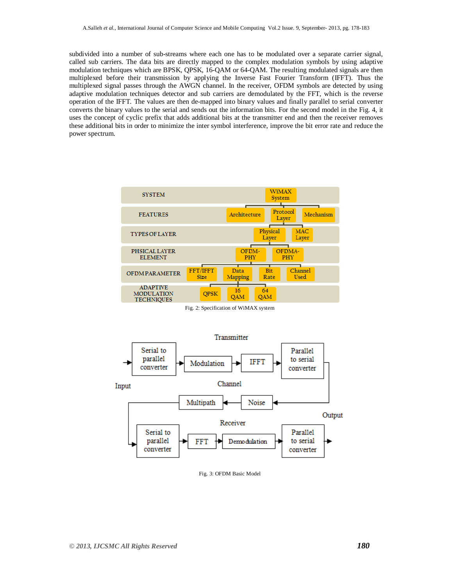subdivided into a number of sub-streams where each one has to be modulated over a separate carrier signal, called sub carriers. The data bits are directly mapped to the complex modulation symbols by using adaptive modulation techniques which are BPSK, QPSK, 16-QAM or 64-QAM. The resulting modulated signals are then multiplexed before their transmission by applying the Inverse Fast Fourier Transform (IFFT). Thus the multiplexed signal passes through the AWGN channel. In the receiver, OFDM symbols are detected by using adaptive modulation techniques detector and sub carriers are demodulated by the FFT, which is the reverse operation of the IFFT. The values are then de-mapped into binary values and finally parallel to serial converter converts the binary values to the serial and sends out the information bits. For the second model in the Fig. 4, it uses the concept of cyclic prefix that adds additional bits at the transmitter end and then the receiver removes these additional bits in order to minimize the inter symbol interference, improve the bit error rate and reduce the power spectrum.



Fig. 2: Specification of WiMAX system



Fig. 3: OFDM Basic Model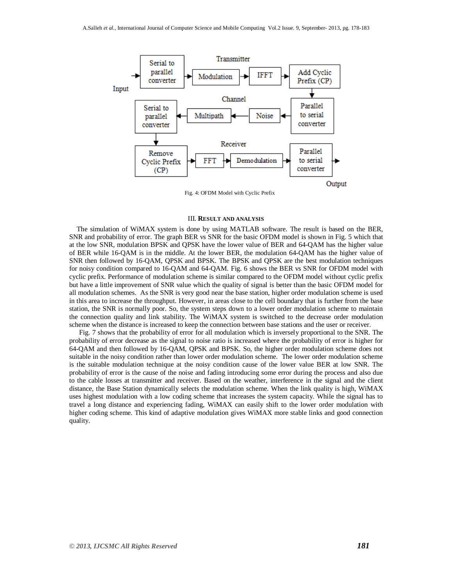

Fig. 4: OFDM Model with Cyclic Prefix

#### III. **RESULT AND ANALYSIS**

The simulation of WiMAX system is done by using MATLAB software. The result is based on the BER, SNR and probability of error. The graph BER vs SNR for the basic OFDM model is shown in Fig. 5 which that at the low SNR, modulation BPSK and QPSK have the lower value of BER and 64-QAM has the higher value of BER while 16-QAM is in the middle. At the lower BER, the modulation 64-QAM has the higher value of SNR then followed by 16-QAM, QPSK and BPSK. The BPSK and QPSK are the best modulation techniques for noisy condition compared to 16-QAM and 64-QAM. Fig. 6 shows the BER vs SNR for OFDM model with cyclic prefix. Performance of modulation scheme is similar compared to the OFDM model without cyclic prefix but have a little improvement of SNR value which the quality of signal is better than the basic OFDM model for all modulation schemes. As the SNR is very good near the base station, higher order modulation scheme is used in this area to increase the throughput. However, in areas close to the cell boundary that is further from the base station, the SNR is normally poor. So, the system steps down to a lower order modulation scheme to maintain the connection quality and link stability. The WiMAX system is switched to the decrease order modulation scheme when the distance is increased to keep the connection between base stations and the user or receiver.

Fig. 7 shows that the probability of error for all modulation which is inversely proportional to the SNR. The probability of error decrease as the signal to noise ratio is increased where the probability of error is higher for 64-QAM and then followed by 16-QAM, QPSK and BPSK. So, the higher order modulation scheme does not suitable in the noisy condition rather than lower order modulation scheme. The lower order modulation scheme is the suitable modulation technique at the noisy condition cause of the lower value BER at low SNR. The probability of error is the cause of the noise and fading introducing some error during the process and also due to the cable losses at transmitter and receiver. Based on the weather, interference in the signal and the client distance, the Base Station dynamically selects the modulation scheme. When the link quality is high, WiMAX uses highest modulation with a low coding scheme that increases the system capacity. While the signal has to travel a long distance and experiencing fading, WiMAX can easily shift to the lower order modulation with higher coding scheme. This kind of adaptive modulation gives WiMAX more stable links and good connection quality.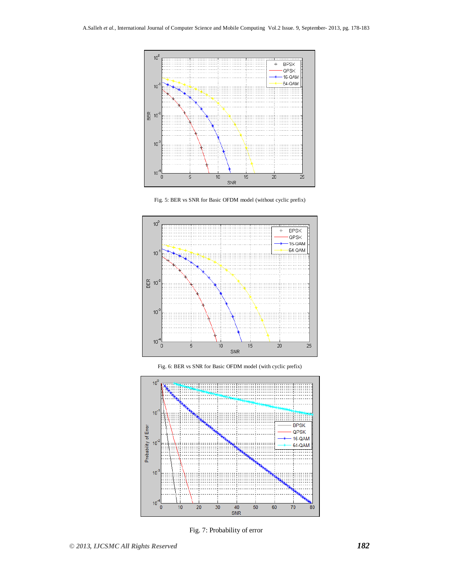









Fig. 7: Probability of error